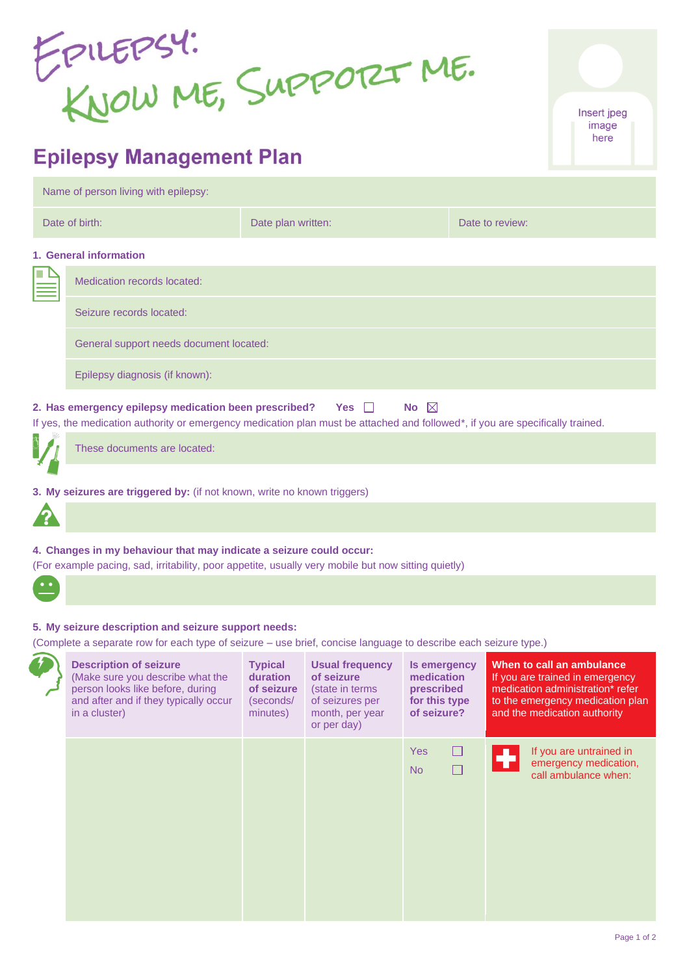EPILEPSY:<br>KNOW ME, SUPPORT ME.

# **Epilepsy Management Plan**

| Name of person living with epilepsy:                                                                                                                                                                              |                    |                                         |  |  |  |  |
|-------------------------------------------------------------------------------------------------------------------------------------------------------------------------------------------------------------------|--------------------|-----------------------------------------|--|--|--|--|
| Date of birth:                                                                                                                                                                                                    | Date plan written: | Date to review:                         |  |  |  |  |
| 1. General information                                                                                                                                                                                            |                    |                                         |  |  |  |  |
| Medication records located:                                                                                                                                                                                       |                    |                                         |  |  |  |  |
| Seizure records located:                                                                                                                                                                                          |                    |                                         |  |  |  |  |
|                                                                                                                                                                                                                   |                    |                                         |  |  |  |  |
| Epilepsy diagnosis (if known):                                                                                                                                                                                    |                    |                                         |  |  |  |  |
| No $\boxtimes$<br>2. Has emergency epilepsy medication been prescribed? Yes and<br>If yes, the medication authority or emergency medication plan must be attached and followed*, if you are specifically trained. |                    |                                         |  |  |  |  |
| These documents are located:                                                                                                                                                                                      |                    |                                         |  |  |  |  |
|                                                                                                                                                                                                                   |                    | General support needs document located: |  |  |  |  |

- **3. My seizures are triggered by:** (if not known, write no known triggers)
- **4. Changes in my behaviour that may indicate a seizure could occur:**
- (For example pacing, sad, irritability, poor appetite, usually very mobile but now sitting quietly)
- 

## **5. My seizure description and seizure support needs:**

(Complete a separate row for each type of seizure – use brief, concise language to describe each seizure type.)

| <b>Description of seizure</b><br>(Make sure you describe what the<br>person looks like before, during<br>and after and if they typically occur<br>in a cluster) | <b>Typical</b><br>duration<br>of seizure<br>(seconds/<br>minutes) | <b>Usual frequency</b><br>of seizure<br>(state in terms<br>of seizures per<br>month, per year<br>or per day) | Is emergency<br>medication<br>prescribed<br>for this type<br>of seizure? | When to call an ambulance<br>If you are trained in emergency<br>medication administration* refer<br>to the emergency medication plan<br>and the medication authority |
|-----------------------------------------------------------------------------------------------------------------------------------------------------------------|-------------------------------------------------------------------|--------------------------------------------------------------------------------------------------------------|--------------------------------------------------------------------------|----------------------------------------------------------------------------------------------------------------------------------------------------------------------|
|                                                                                                                                                                 |                                                                   |                                                                                                              | <b>Yes</b><br>⊔<br><b>No</b>                                             | If you are untrained in<br>emergency medication,<br>call ambulance when:                                                                                             |